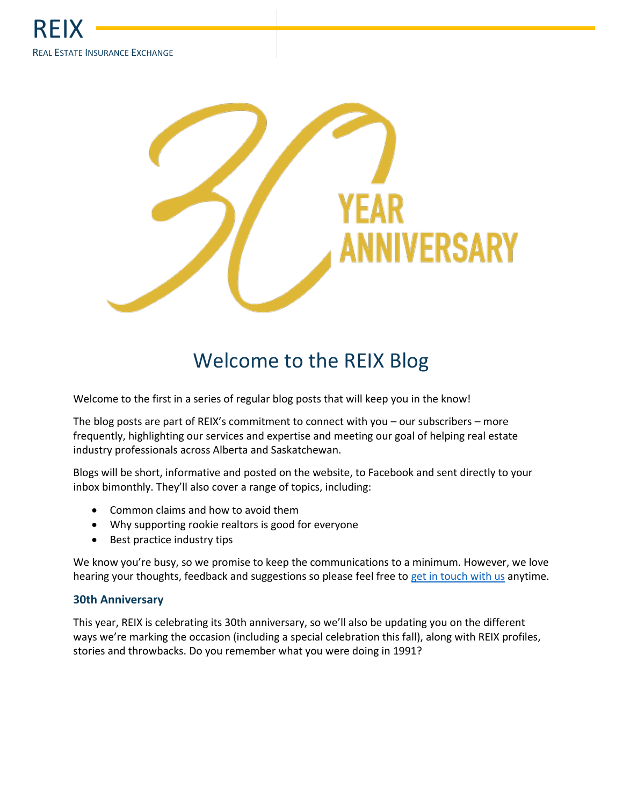

# Welcome to the REIX Blog

Welcome to the first in a series of regular blog posts that will keep you in the know!

The blog posts are part of REIX's commitment to connect with you – our subscribers – more frequently, highlighting our services and expertise and meeting our goal of helping real estate industry professionals across Alberta and Saskatchewan.

Blogs will be short, informative and posted on the website, to Facebook and sent directly to your inbox bimonthly. They'll also cover a range of topics, including:

- Common claims and how to avoid them
- Why supporting rookie realtors is good for everyone
- Best practice industry tips

We know you're busy, so we promise to keep the communications to a minimum. However, we love hearing your thoughts, feedback and suggestions so please feel free to [get in touch with us](https://www.reix.ca/contact/) anytime.

#### **30th Anniversary**

This year, REIX is celebrating its 30th anniversary, so we'll also be updating you on the different ways we're marking the occasion (including a special celebration this fall), along with REIX profiles, stories and throwbacks. Do you remember what you were doing in 1991?